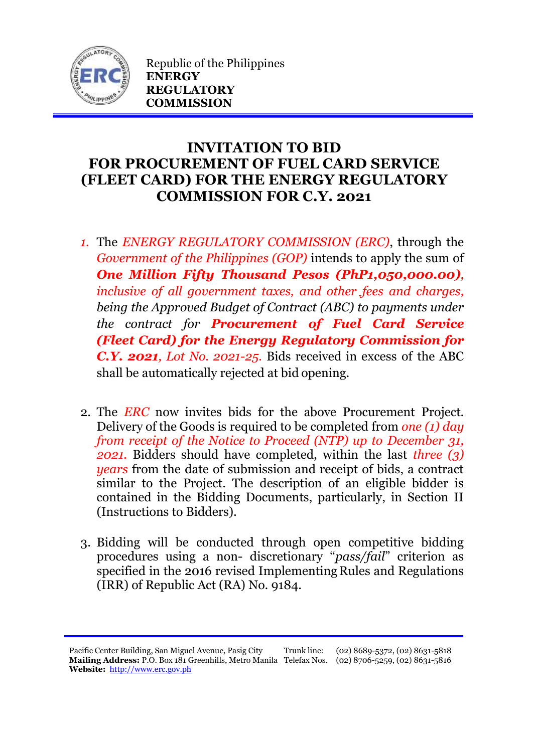

Republic of the Philippines **ENERGY REGULATORY COMMISSION**

## **INVITATION TO BID FOR PROCUREMENT OF FUEL CARD SERVICE (FLEET CARD) FOR THE ENERGY REGULATORY COMMISSION FOR C.Y. 2021**

- *1.* The *ENERGY REGULATORY COMMISSION (ERC)*, through the *Government of the Philippines (GOP)* intends to apply the sum of *One Million Fifty Thousand Pesos (PhP1,050,000.00), inclusive of all government taxes, and other fees and charges, being the Approved Budget of Contract (ABC) to payments under the contract for Procurement of Fuel Card Service (Fleet Card) for the Energy Regulatory Commission for C.Y. 2021, Lot No. 2021-25.* Bids received in excess of the ABC shall be automatically rejected at bid opening.
- 2. The *ERC* now invites bids for the above Procurement Project. Delivery of the Goods is required to be completed from *one (1) day from receipt of the Notice to Proceed (NTP) up to December 31, 2021.* Bidders should have completed, within the last *three (3) years* from the date of submission and receipt of bids, a contract similar to the Project. The description of an eligible bidder is contained in the Bidding Documents, particularly, in Section II (Instructions to Bidders).
- 3. Bidding will be conducted through open competitive bidding procedures using a non- discretionary "*pass/fail*" criterion as specified in the 2016 revised Implementing Rules and Regulations (IRR) of Republic Act (RA) No. 9184.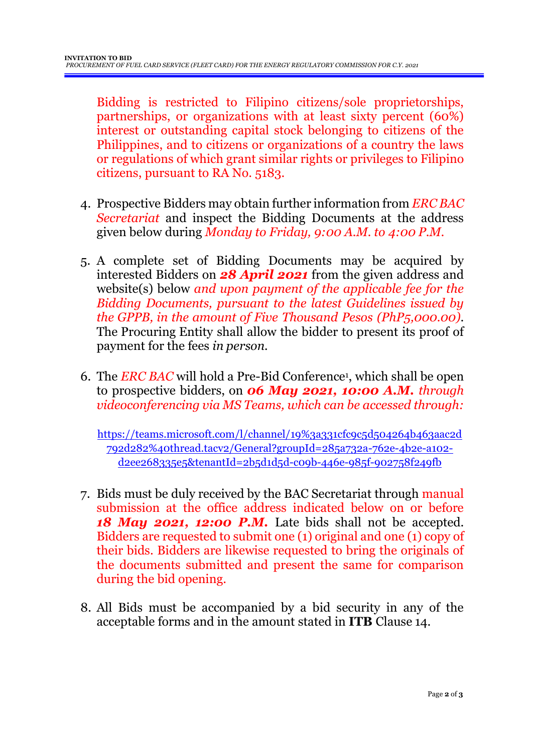Bidding is restricted to Filipino citizens/sole proprietorships, partnerships, or organizations with at least sixty percent (60%) interest or outstanding capital stock belonging to citizens of the Philippines, and to citizens or organizations of a country the laws or regulations of which grant similar rights or privileges to Filipino citizens, pursuant to RA No. 5183.

- 4. Prospective Bidders may obtain further information from *ERC BAC Secretariat* and inspect the Bidding Documents at the address given below during *Monday to Friday, 9:00 A.M. to 4:00 P.M*.
- 5. A complete set of Bidding Documents may be acquired by interested Bidders on *28 April 2021* from the given address and website(s) below *and upon payment of the applicable fee for the Bidding Documents, pursuant to the latest Guidelines issued by the GPPB, in the amount of Five Thousand Pesos (PhP5,000.00)*. The Procuring Entity shall allow the bidder to present its proof of payment for the fees *in person.*
- 6. The *ERC BAC* will hold a Pre-Bid Conference<sup>1</sup> , which shall be open to prospective bidders, on *06 May 2021, 10:00 A.M. through videoconferencing via MS Teams, which can be accessed through:*

[https://teams.microsoft.com/l/channel/19%3a331cfc9c5d504264b463aac2d](https://teams.microsoft.com/l/channel/19%3a331cfc9c5d504264b463aac2d792d282%40thread.tacv2/General?groupId=285a732a-762e-4b2e-a102-d2ee268335e5&tenantId=2b5d1d5d-c09b-446e-985f-902758f249fb) [792d282%40thread.tacv2/General?groupId=285a732a-762e-4b2e-a102](https://teams.microsoft.com/l/channel/19%3a331cfc9c5d504264b463aac2d792d282%40thread.tacv2/General?groupId=285a732a-762e-4b2e-a102-d2ee268335e5&tenantId=2b5d1d5d-c09b-446e-985f-902758f249fb) [d2ee268335e5&tenantId=2b5d1d5d-c09b-446e-985f-902758f249fb](https://teams.microsoft.com/l/channel/19%3a331cfc9c5d504264b463aac2d792d282%40thread.tacv2/General?groupId=285a732a-762e-4b2e-a102-d2ee268335e5&tenantId=2b5d1d5d-c09b-446e-985f-902758f249fb)

- 7. Bids must be duly received by the BAC Secretariat through manual submission at the office address indicated below on or before *18 May 2021, 12:00 P.M.* Late bids shall not be accepted. Bidders are requested to submit one (1) original and one (1) copy of their bids. Bidders are likewise requested to bring the originals of the documents submitted and present the same for comparison during the bid opening.
- 8. All Bids must be accompanied by a bid security in any of the acceptable forms and in the amount stated in **ITB** Clause 14.